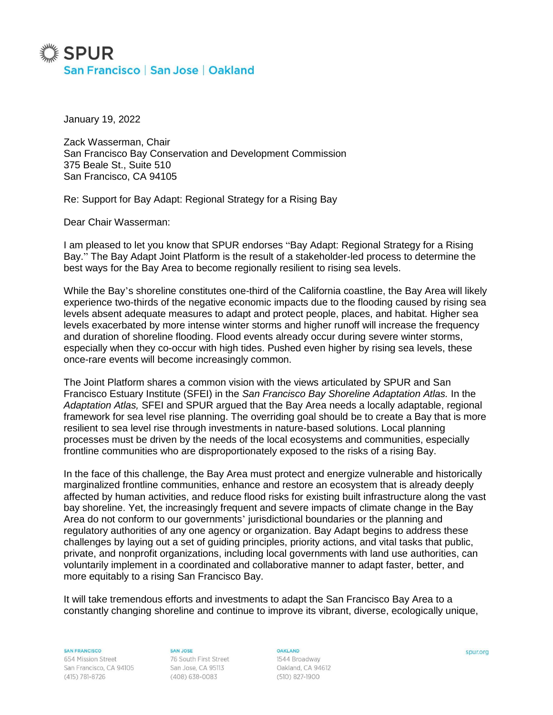## ▓ SPUR San Francisco | San Jose | Oakland

January 19, 2022

Zack Wasserman, Chair San Francisco Bay Conservation and Development Commission 375 Beale St., Suite 510 San Francisco, CA 94105

Re: Support for Bay Adapt: Regional Strategy for a Rising Bay

Dear Chair Wasserman:

I am pleased to let you know that SPUR endorses "Bay Adapt: Regional Strategy for a Rising Bay." The Bay Adapt Joint Platform is the result of a stakeholder-led process to determine the best ways for the Bay Area to become regionally resilient to rising sea levels.

While the Bay's shoreline constitutes one-third of the California coastline, the Bay Area will likely experience two-thirds of the negative economic impacts due to the flooding caused by rising sea levels absent adequate measures to adapt and protect people, places, and habitat. Higher sea levels exacerbated by more intense winter storms and higher runoff will increase the frequency and duration of shoreline flooding. Flood events already occur during severe winter storms, especially when they co-occur with high tides. Pushed even higher by rising sea levels, these once-rare events will become increasingly common.

The Joint Platform shares a common vision with the views articulated by SPUR and San Francisco Estuary Institute (SFEI) in the *San Francisco Bay Shoreline Adaptation Atlas.* In the *Adaptation Atlas,* SFEI and SPUR argued that the Bay Area needs a locally adaptable, regional framework for sea level rise planning. The overriding goal should be to create a Bay that is more resilient to sea level rise through investments in nature-based solutions. Local planning processes must be driven by the needs of the local ecosystems and communities, especially frontline communities who are disproportionately exposed to the risks of a rising Bay.

In the face of this challenge, the Bay Area must protect and energize vulnerable and historically marginalized frontline communities, enhance and restore an ecosystem that is already deeply affected by human activities, and reduce flood risks for existing built infrastructure along the vast bay shoreline. Yet, the increasingly frequent and severe impacts of climate change in the Bay Area do not conform to our governments' jurisdictional boundaries or the planning and regulatory authorities of any one agency or organization. Bay Adapt begins to address these challenges by laying out a set of guiding principles, priority actions, and vital tasks that public, private, and nonprofit organizations, including local governments with land use authorities, can voluntarily implement in a coordinated and collaborative manner to adapt faster, better, and more equitably to a rising San Francisco Bay.

It will take tremendous efforts and investments to adapt the San Francisco Bay Area to a constantly changing shoreline and continue to improve its vibrant, diverse, ecologically unique,

**SAN FRANCISCO** 

654 Mission Street San Francisco, CA 94105 (415) 781-8726

SAN JOSE 76 South First Street San Jose, CA 95113 (408) 638-0083

**OAKLAND** 

**BAKLAND**<br>1544 Broadway Oakland, CA 94612 (510) 827-1900

spur.org